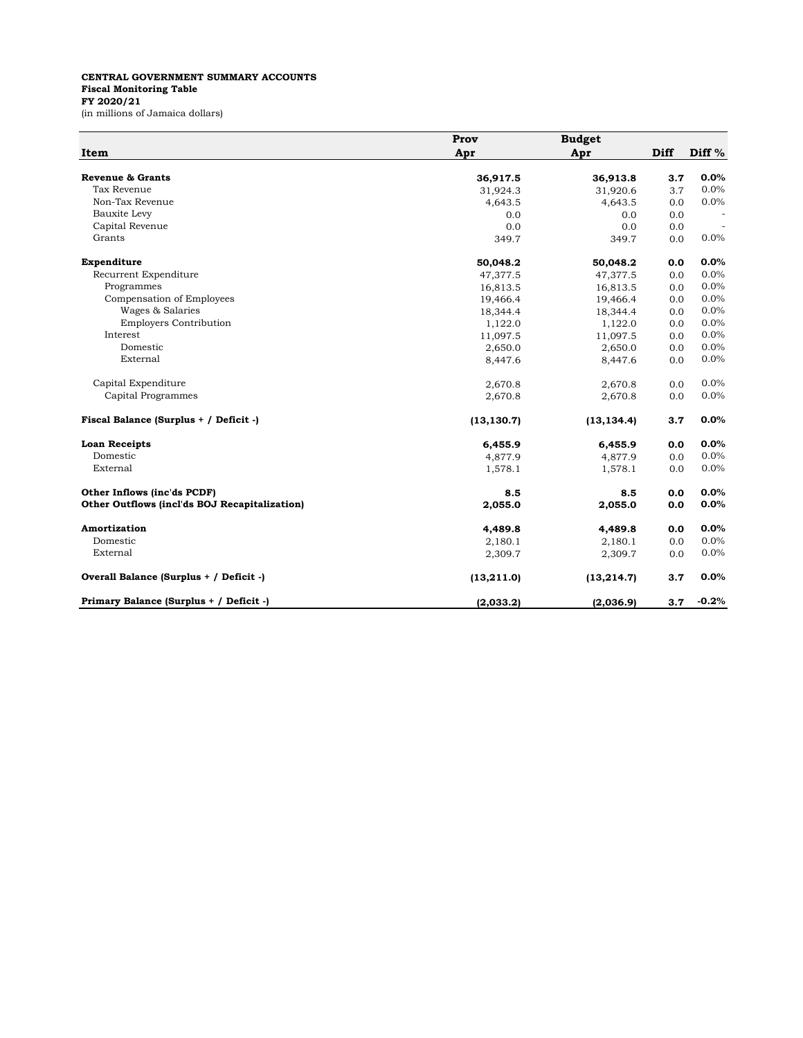## **CENTRAL GOVERNMENT SUMMARY ACCOUNTS Fiscal Monitoring Table FY 2020/21** (in millions of Jamaica dollars)

|                                               | Prov        | <b>Budget</b> |             |         |
|-----------------------------------------------|-------------|---------------|-------------|---------|
| Item                                          | Apr         | Apr           | <b>Diff</b> | Diff %  |
| <b>Revenue &amp; Grants</b>                   | 36,917.5    | 36,913.8      | 3.7         | 0.0%    |
| Tax Revenue                                   | 31,924.3    | 31,920.6      | 3.7         | 0.0%    |
| Non-Tax Revenue                               | 4,643.5     | 4,643.5       | 0.0         | 0.0%    |
| Bauxite Levy                                  | 0.0         | 0.0           | 0.0         |         |
| Capital Revenue                               | 0.0         | 0.0           | 0.0         |         |
| Grants                                        | 349.7       | 349.7         | 0.0         | 0.0%    |
| Expenditure                                   | 50,048.2    | 50,048.2      | 0.0         | 0.0%    |
| Recurrent Expenditure                         | 47.377.5    | 47,377.5      | 0.0         | 0.0%    |
| Programmes                                    | 16,813.5    | 16,813.5      | 0.0         | 0.0%    |
| Compensation of Employees                     | 19,466.4    | 19,466.4      | 0.0         | 0.0%    |
| Wages & Salaries                              | 18,344.4    | 18,344.4      | 0.0         | 0.0%    |
| <b>Employers Contribution</b>                 | 1,122.0     | 1,122.0       | 0.0         | 0.0%    |
| Interest                                      | 11,097.5    | 11,097.5      | 0.0         | 0.0%    |
| Domestic                                      | 2,650.0     | 2,650.0       | 0.0         | 0.0%    |
| External                                      | 8,447.6     | 8,447.6       | 0.0         | 0.0%    |
| Capital Expenditure                           | 2,670.8     | 2,670.8       | 0.0         | 0.0%    |
| Capital Programmes                            | 2,670.8     | 2,670.8       | 0.0         | 0.0%    |
| Fiscal Balance (Surplus + / Deficit -)        | (13, 130.7) | (13, 134.4)   | 3.7         | 0.0%    |
| <b>Loan Receipts</b>                          | 6,455.9     | 6,455.9       | 0.0         | 0.0%    |
| Domestic                                      | 4,877.9     | 4,877.9       | 0.0         | 0.0%    |
| External                                      | 1,578.1     | 1,578.1       | 0.0         | 0.0%    |
| Other Inflows (inc'ds PCDF)                   | 8.5         | 8.5           | 0.0         | 0.0%    |
| Other Outflows (incl'ds BOJ Recapitalization) | 2,055.0     | 2,055.0       | 0.0         | 0.0%    |
| Amortization                                  | 4,489.8     | 4,489.8       | 0.0         | 0.0%    |
| Domestic                                      | 2,180.1     | 2,180.1       | 0.0         | 0.0%    |
| External                                      | 2,309.7     | 2,309.7       | 0.0         | 0.0%    |
| Overall Balance (Surplus + / Deficit -)       | (13, 211.0) | (13, 214.7)   | 3.7         | 0.0%    |
| Primary Balance (Surplus + / Deficit -)       | (2,033.2)   | (2,036.9)     | 3.7         | $-0.2%$ |